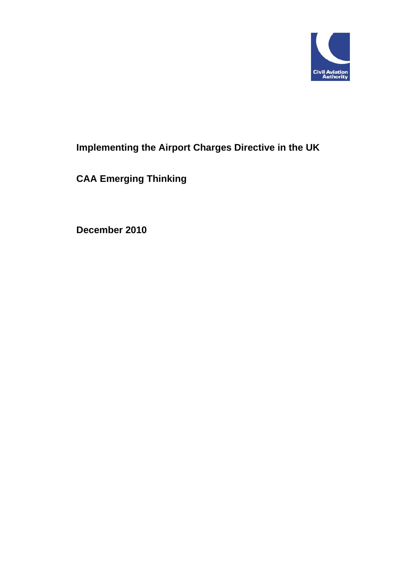

# **Implementing the Airport Charges Directive in the UK**

**CAA Emerging Thinking** 

**December 2010**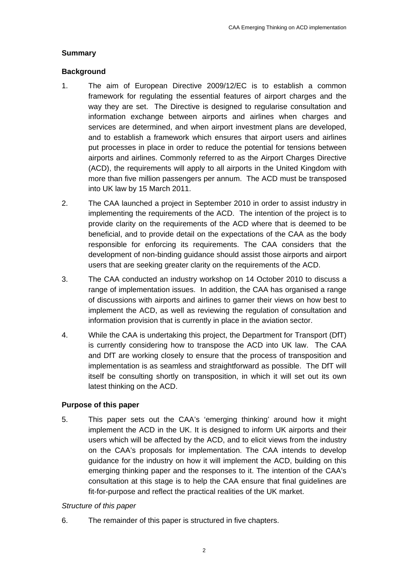### **Summary**

### **Background**

- 1. The aim of European Directive 2009/12/EC is to establish a common framework for regulating the essential features of airport charges and the way they are set. The Directive is designed to regularise consultation and information exchange between airports and airlines when charges and services are determined, and when airport investment plans are developed, and to establish a framework which ensures that airport users and airlines put processes in place in order to reduce the potential for tensions between airports and airlines. Commonly referred to as the Airport Charges Directive (ACD), the requirements will apply to all airports in the United Kingdom with more than five million passengers per annum. The ACD must be transposed into UK law by 15 March 2011.
- 2. The CAA launched a project in September 2010 in order to assist industry in implementing the requirements of the ACD. The intention of the project is to provide clarity on the requirements of the ACD where that is deemed to be beneficial, and to provide detail on the expectations of the CAA as the body responsible for enforcing its requirements. The CAA considers that the development of non-binding guidance should assist those airports and airport users that are seeking greater clarity on the requirements of the ACD.
- 3. The CAA conducted an industry workshop on 14 October 2010 to discuss a range of implementation issues. In addition, the CAA has organised a range of discussions with airports and airlines to garner their views on how best to implement the ACD, as well as reviewing the regulation of consultation and information provision that is currently in place in the aviation sector.
- 4. While the CAA is undertaking this project, the Department for Transport (DfT) is currently considering how to transpose the ACD into UK law. The CAA and DfT are working closely to ensure that the process of transposition and implementation is as seamless and straightforward as possible. The DfT will itself be consulting shortly on transposition, in which it will set out its own latest thinking on the ACD.

## **Purpose of this paper**

5. This paper sets out the CAA's 'emerging thinking' around how it might implement the ACD in the UK. It is designed to inform UK airports and their users which will be affected by the ACD, and to elicit views from the industry on the CAA's proposals for implementation. The CAA intends to develop guidance for the industry on how it will implement the ACD, building on this emerging thinking paper and the responses to it. The intention of the CAA's consultation at this stage is to help the CAA ensure that final guidelines are fit-for-purpose and reflect the practical realities of the UK market.

#### *Structure of this paper*

6. The remainder of this paper is structured in five chapters.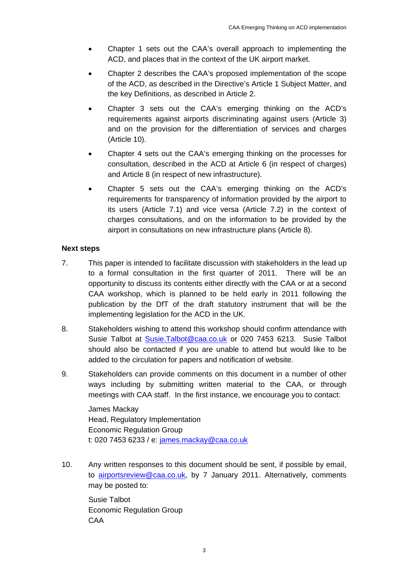- Chapter 1 sets out the CAA's overall approach to implementing the ACD, and places that in the context of the UK airport market.
- Chapter 2 describes the CAA's proposed implementation of the scope of the ACD, as described in the Directive's Article 1 Subject Matter, and the key Definitions, as described in Article 2.
- Chapter 3 sets out the CAA's emerging thinking on the ACD's requirements against airports discriminating against users (Article 3) and on the provision for the differentiation of services and charges (Article 10).
- Chapter 4 sets out the CAA's emerging thinking on the processes for consultation, described in the ACD at Article 6 (in respect of charges) and Article 8 (in respect of new infrastructure).
- Chapter 5 sets out the CAA's emerging thinking on the ACD's requirements for transparency of information provided by the airport to its users (Article 7.1) and vice versa (Article 7.2) in the context of charges consultations, and on the information to be provided by the airport in consultations on new infrastructure plans (Article 8).

#### **Next steps**

- 7. This paper is intended to facilitate discussion with stakeholders in the lead up to a formal consultation in the first quarter of 2011. There will be an opportunity to discuss its contents either directly with the CAA or at a second CAA workshop, which is planned to be held early in 2011 following the publication by the DfT of the draft statutory instrument that will be the implementing legislation for the ACD in the UK.
- 8. Stakeholders wishing to attend this workshop should confirm attendance with Susie Talbot at Susie.Talbot@caa.co.uk or 020 7453 6213. Susie Talbot should also be contacted if you are unable to attend but would like to be added to the circulation for papers and notification of website.
- 9. Stakeholders can provide comments on this document in a number of other ways including by submitting written material to the CAA, or through meetings with CAA staff. In the first instance, we encourage you to contact:

James Mackay Head, Regulatory Implementation Economic Regulation Group t: 020 7453 6233 / e: james.mackay@caa.co.uk

10. Any written responses to this document should be sent, if possible by email, to airportsreview@caa.co.uk, by 7 January 2011. Alternatively, comments may be posted to:

Susie Talbot Economic Regulation Group CAA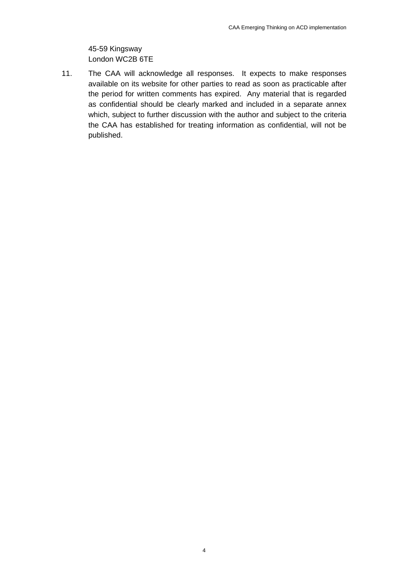45-59 Kingsway London WC2B 6TE

11. The CAA will acknowledge all responses. It expects to make responses available on its website for other parties to read as soon as practicable after the period for written comments has expired. Any material that is regarded as confidential should be clearly marked and included in a separate annex which, subject to further discussion with the author and subject to the criteria the CAA has established for treating information as confidential, will not be published.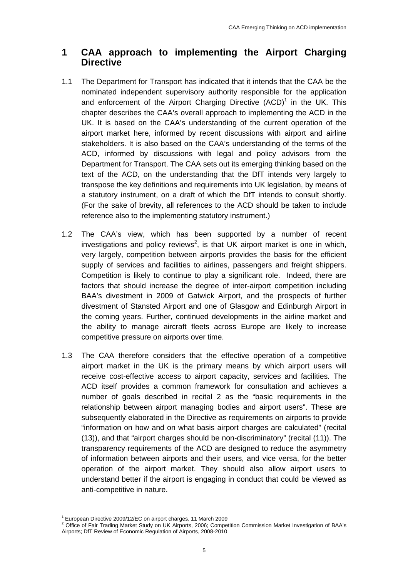# **1 CAA approach to implementing the Airport Charging Directive**

- 1.1 The Department for Transport has indicated that it intends that the CAA be the nominated independent supervisory authority responsible for the application and enforcement of the Airport Charging Directive  $(ACD)^1$  in the UK. This chapter describes the CAA's overall approach to implementing the ACD in the UK. It is based on the CAA's understanding of the current operation of the airport market here, informed by recent discussions with airport and airline stakeholders. It is also based on the CAA's understanding of the terms of the ACD, informed by discussions with legal and policy advisors from the Department for Transport. The CAA sets out its emerging thinking based on the text of the ACD, on the understanding that the DfT intends very largely to transpose the key definitions and requirements into UK legislation, by means of a statutory instrument, on a draft of which the DfT intends to consult shortly. (For the sake of brevity, all references to the ACD should be taken to include reference also to the implementing statutory instrument.)
- 1.2 The CAA's view, which has been supported by a number of recent investigations and policy reviews<sup>2</sup>, is that UK airport market is one in which, very largely, competition between airports provides the basis for the efficient supply of services and facilities to airlines, passengers and freight shippers. Competition is likely to continue to play a significant role. Indeed, there are factors that should increase the degree of inter-airport competition including BAA's divestment in 2009 of Gatwick Airport, and the prospects of further divestment of Stansted Airport and one of Glasgow and Edinburgh Airport in the coming years. Further, continued developments in the airline market and the ability to manage aircraft fleets across Europe are likely to increase competitive pressure on airports over time.
- 1.3 The CAA therefore considers that the effective operation of a competitive airport market in the UK is the primary means by which airport users will receive cost-effective access to airport capacity, services and facilities. The ACD itself provides a common framework for consultation and achieves a number of goals described in recital 2 as the "basic requirements in the relationship between airport managing bodies and airport users". These are subsequently elaborated in the Directive as requirements on airports to provide "information on how and on what basis airport charges are calculated" (recital (13)), and that "airport charges should be non-discriminatory" (recital (11)). The transparency requirements of the ACD are designed to reduce the asymmetry of information between airports and their users, and vice versa, for the better operation of the airport market. They should also allow airport users to understand better if the airport is engaging in conduct that could be viewed as anti-competitive in nature.

<sup>&</sup>lt;u> 1989 - Johann Barn, mars eta bainar eta industrial eta bainar eta baina eta baina eta baina eta baina eta ba</u> <sup>1</sup> European Directive 2009/12/EC on airport charges, 11 March 2009

<sup>&</sup>lt;sup>2</sup> Office of Fair Trading Market Study on UK Airports, 2006; Competition Commission Market Investigation of BAA's Airports; DfT Review of Economic Regulation of Airports, 2008-2010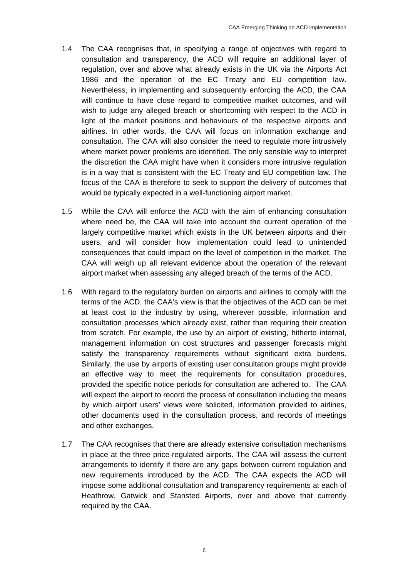- 1.4 The CAA recognises that, in specifying a range of objectives with regard to consultation and transparency, the ACD will require an additional layer of regulation, over and above what already exists in the UK via the Airports Act 1986 and the operation of the EC Treaty and EU competition law. Nevertheless, in implementing and subsequently enforcing the ACD, the CAA will continue to have close regard to competitive market outcomes, and will wish to judge any alleged breach or shortcoming with respect to the ACD in light of the market positions and behaviours of the respective airports and airlines. In other words, the CAA will focus on information exchange and consultation. The CAA will also consider the need to regulate more intrusively where market power problems are identified. The only sensible way to interpret the discretion the CAA might have when it considers more intrusive regulation is in a way that is consistent with the EC Treaty and EU competition law. The focus of the CAA is therefore to seek to support the delivery of outcomes that would be typically expected in a well-functioning airport market.
- 1.5 While the CAA will enforce the ACD with the aim of enhancing consultation where need be, the CAA will take into account the current operation of the largely competitive market which exists in the UK between airports and their users, and will consider how implementation could lead to unintended consequences that could impact on the level of competition in the market. The CAA will weigh up all relevant evidence about the operation of the relevant airport market when assessing any alleged breach of the terms of the ACD.
- 1.6 With regard to the regulatory burden on airports and airlines to comply with the terms of the ACD, the CAA's view is that the objectives of the ACD can be met at least cost to the industry by using, wherever possible, information and consultation processes which already exist, rather than requiring their creation from scratch. For example, the use by an airport of existing, hitherto internal, management information on cost structures and passenger forecasts might satisfy the transparency requirements without significant extra burdens. Similarly, the use by airports of existing user consultation groups might provide an effective way to meet the requirements for consultation procedures, provided the specific notice periods for consultation are adhered to. The CAA will expect the airport to record the process of consultation including the means by which airport users' views were solicited, information provided to airlines, other documents used in the consultation process, and records of meetings and other exchanges.
- 1.7 The CAA recognises that there are already extensive consultation mechanisms in place at the three price-regulated airports. The CAA will assess the current arrangements to identify if there are any gaps between current regulation and new requirements introduced by the ACD. The CAA expects the ACD will impose some additional consultation and transparency requirements at each of Heathrow, Gatwick and Stansted Airports, over and above that currently required by the CAA.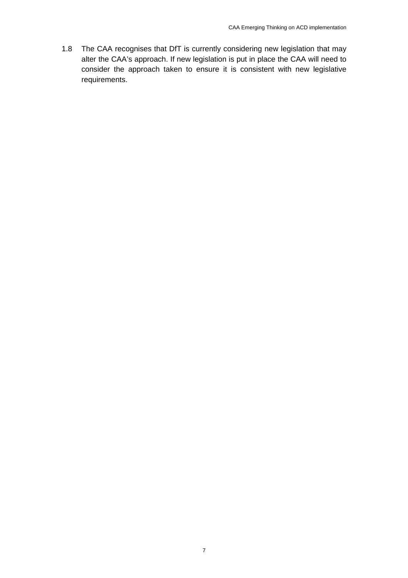1.8 The CAA recognises that DfT is currently considering new legislation that may alter the CAA's approach. If new legislation is put in place the CAA will need to consider the approach taken to ensure it is consistent with new legislative requirements.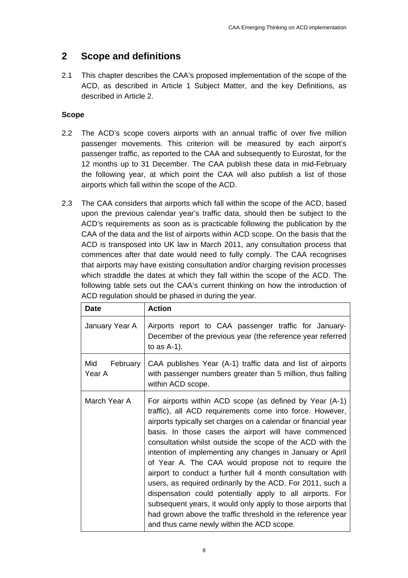# **2 Scope and definitions**

2.1 This chapter describes the CAA's proposed implementation of the scope of the ACD, as described in Article 1 Subject Matter, and the key Definitions, as described in Article 2.

# **Scope**

- 2.2 The ACD's scope covers airports with an annual traffic of over five million passenger movements. This criterion will be measured by each airport's passenger traffic, as reported to the CAA and subsequently to Eurostat, for the 12 months up to 31 December. The CAA publish these data in mid-February the following year, at which point the CAA will also publish a list of those airports which fall within the scope of the ACD.
- 2.3 The CAA considers that airports which fall within the scope of the ACD, based upon the previous calendar year's traffic data, should then be subject to the ACD's requirements as soon as is practicable following the publication by the CAA of the data and the list of airports within ACD scope. On the basis that the ACD is transposed into UK law in March 2011, any consultation process that commences after that date would need to fully comply. The CAA recognises that airports may have existing consultation and/or charging revision processes which straddle the dates at which they fall within the scope of the ACD. The following table sets out the CAA's current thinking on how the introduction of ACD regulation should be phased in during the year.

| <b>Date</b>               | <b>Action</b>                                                                                                                                                                                                                                                                                                                                                                                                                                                                                                                                                                                                                                                                                                                                                                                         |  |  |
|---------------------------|-------------------------------------------------------------------------------------------------------------------------------------------------------------------------------------------------------------------------------------------------------------------------------------------------------------------------------------------------------------------------------------------------------------------------------------------------------------------------------------------------------------------------------------------------------------------------------------------------------------------------------------------------------------------------------------------------------------------------------------------------------------------------------------------------------|--|--|
| January Year A            | Airports report to CAA passenger traffic for January-<br>December of the previous year (the reference year referred<br>to as $A-1$ ).                                                                                                                                                                                                                                                                                                                                                                                                                                                                                                                                                                                                                                                                 |  |  |
| Mid<br>February<br>Year A | CAA publishes Year (A-1) traffic data and list of airports<br>with passenger numbers greater than 5 million, thus falling<br>within ACD scope.                                                                                                                                                                                                                                                                                                                                                                                                                                                                                                                                                                                                                                                        |  |  |
| March Year A              | For airports within ACD scope (as defined by Year (A-1)<br>traffic), all ACD requirements come into force. However,<br>airports typically set charges on a calendar or financial year<br>basis. In those cases the airport will have commenced<br>consultation whilst outside the scope of the ACD with the<br>intention of implementing any changes in January or April<br>of Year A. The CAA would propose not to require the<br>airport to conduct a further full 4 month consultation with<br>users, as required ordinarily by the ACD. For 2011, such a<br>dispensation could potentially apply to all airports. For<br>subsequent years, it would only apply to those airports that<br>had grown above the traffic threshold in the reference year<br>and thus came newly within the ACD scope. |  |  |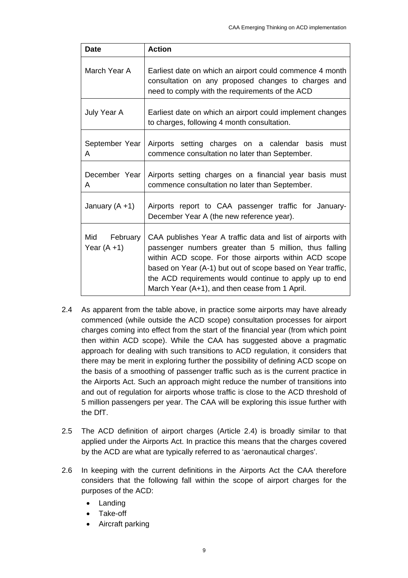| <b>Date</b>                       | <b>Action</b>                                                                                                                                                                                                                                                                                                                                             |  |  |
|-----------------------------------|-----------------------------------------------------------------------------------------------------------------------------------------------------------------------------------------------------------------------------------------------------------------------------------------------------------------------------------------------------------|--|--|
| March Year A                      | Earliest date on which an airport could commence 4 month<br>consultation on any proposed changes to charges and<br>need to comply with the requirements of the ACD                                                                                                                                                                                        |  |  |
| July Year A                       | Earliest date on which an airport could implement changes<br>to charges, following 4 month consultation.                                                                                                                                                                                                                                                  |  |  |
| September Year<br>A               | Airports setting charges on a calendar basis<br>must<br>commence consultation no later than September.                                                                                                                                                                                                                                                    |  |  |
| December Year<br>A                | Airports setting charges on a financial year basis must<br>commence consultation no later than September.                                                                                                                                                                                                                                                 |  |  |
| January $(A + 1)$                 | Airports report to CAA passenger traffic for January-<br>December Year A (the new reference year).                                                                                                                                                                                                                                                        |  |  |
| February<br>Mid<br>Year $(A + 1)$ | CAA publishes Year A traffic data and list of airports with<br>passenger numbers greater than 5 million, thus falling<br>within ACD scope. For those airports within ACD scope<br>based on Year (A-1) but out of scope based on Year traffic,<br>the ACD requirements would continue to apply up to end<br>March Year (A+1), and then cease from 1 April. |  |  |

- 2.4 As apparent from the table above, in practice some airports may have already commenced (while outside the ACD scope) consultation processes for airport charges coming into effect from the start of the financial year (from which point then within ACD scope). While the CAA has suggested above a pragmatic approach for dealing with such transitions to ACD regulation, it considers that there may be merit in exploring further the possibility of defining ACD scope on the basis of a smoothing of passenger traffic such as is the current practice in the Airports Act. Such an approach might reduce the number of transitions into and out of regulation for airports whose traffic is close to the ACD threshold of 5 million passengers per year. The CAA will be exploring this issue further with the DfT.
- 2.5 The ACD definition of airport charges (Article 2.4) is broadly similar to that applied under the Airports Act. In practice this means that the charges covered by the ACD are what are typically referred to as 'aeronautical charges'.
- 2.6 In keeping with the current definitions in the Airports Act the CAA therefore considers that the following fall within the scope of airport charges for the purposes of the ACD:
	- **Landing**
	- Take-off
	- Aircraft parking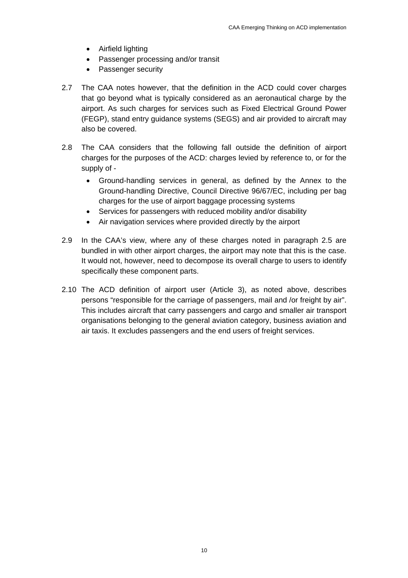- Airfield lighting
- Passenger processing and/or transit
- Passenger security
- 2.7 The CAA notes however, that the definition in the ACD could cover charges that go beyond what is typically considered as an aeronautical charge by the airport. As such charges for services such as Fixed Electrical Ground Power (FEGP), stand entry guidance systems (SEGS) and air provided to aircraft may also be covered.
- 2.8 The CAA considers that the following fall outside the definition of airport charges for the purposes of the ACD: charges levied by reference to, or for the supply of -
	- Ground-handling services in general, as defined by the Annex to the Ground-handling Directive, Council Directive 96/67/EC, including per bag charges for the use of airport baggage processing systems
	- Services for passengers with reduced mobility and/or disability
	- Air navigation services where provided directly by the airport
- 2.9 In the CAA's view, where any of these charges noted in paragraph 2.5 are bundled in with other airport charges, the airport may note that this is the case. It would not, however, need to decompose its overall charge to users to identify specifically these component parts.
- 2.10 The ACD definition of airport user (Article 3), as noted above, describes persons "responsible for the carriage of passengers, mail and /or freight by air". This includes aircraft that carry passengers and cargo and smaller air transport organisations belonging to the general aviation category, business aviation and air taxis. It excludes passengers and the end users of freight services.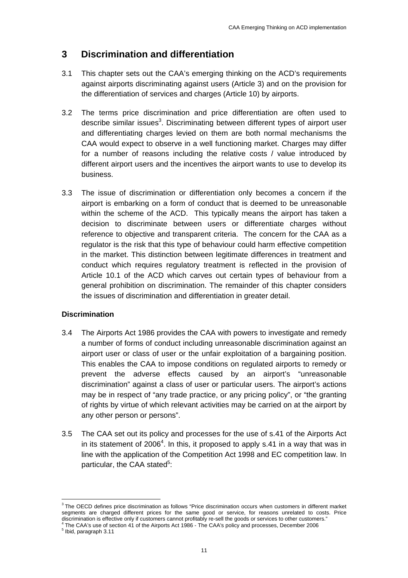# **3 Discrimination and differentiation**

- 3.1 This chapter sets out the CAA's emerging thinking on the ACD's requirements against airports discriminating against users (Article 3) and on the provision for the differentiation of services and charges (Article 10) by airports.
- 3.2 The terms price discrimination and price differentiation are often used to describe similar issues<sup>3</sup>. Discriminating between different types of airport user and differentiating charges levied on them are both normal mechanisms the CAA would expect to observe in a well functioning market. Charges may differ for a number of reasons including the relative costs / value introduced by different airport users and the incentives the airport wants to use to develop its business.
- 3.3 The issue of discrimination or differentiation only becomes a concern if the airport is embarking on a form of conduct that is deemed to be unreasonable within the scheme of the ACD. This typically means the airport has taken a decision to discriminate between users or differentiate charges without reference to objective and transparent criteria. The concern for the CAA as a regulator is the risk that this type of behaviour could harm effective competition in the market. This distinction between legitimate differences in treatment and conduct which requires regulatory treatment is reflected in the provision of Article 10.1 of the ACD which carves out certain types of behaviour from a general prohibition on discrimination. The remainder of this chapter considers the issues of discrimination and differentiation in greater detail.

## **Discrimination**

- 3.4 The Airports Act 1986 provides the CAA with powers to investigate and remedy a number of forms of conduct including unreasonable discrimination against an airport user or class of user or the unfair exploitation of a bargaining position. This enables the CAA to impose conditions on regulated airports to remedy or prevent the adverse effects caused by an airport's "unreasonable discrimination" against a class of user or particular users. The airport's actions may be in respect of "any trade practice, or any pricing policy", or "the granting of rights by virtue of which relevant activities may be carried on at the airport by any other person or persons".
- 3.5 The CAA set out its policy and processes for the use of s.41 of the Airports Act in its statement of 2006<sup>4</sup>. In this, it proposed to apply s.41 in a way that was in line with the application of the Competition Act 1998 and EC competition law. In particular, the CAA stated<sup>5</sup>:

<u> 1989 - Johann Barn, mars eta bainar eta industrial eta bainar eta baina eta baina eta baina eta baina eta ba</u>

<sup>&</sup>lt;sup>3</sup> The OECD defines price discrimination as follows "Price discrimination occurs when customers in different market segments are charged different prices for the same good or service, for reasons unrelated to costs. Price discrimination is effective only if customers cannot profitably re-sell the goods or services to other customers."<br>A The CAA's use of section 41 of the Airports Act 1986 - The CAA's policy and processes, December 2006

 $<sup>5</sup>$  Ibid, paragraph 3.11</sup>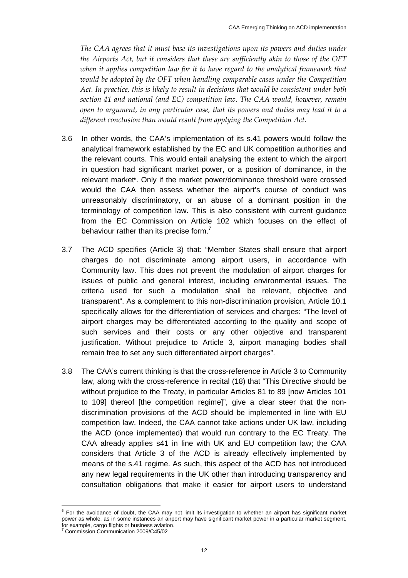*The CAA agrees that it must base its investigations upon its powers and duties under the Airports Act, but it considers that these are sufficiently akin to those of the OFT when it applies competition law for it to have regard to the analytical framework that would be adopted by the OFT when handling comparable cases under the Competition Act. In practice, this is likely to result in decisions that would be consistent under both section 41 and national (and EC) competition law. The CAA would, however, remain open to argument, in any particular case, that its powers and duties may lead it to a different conclusion than would result from applying the Competition Act.*

- 3.6 In other words, the CAA's implementation of its s.41 powers would follow the analytical framework established by the EC and UK competition authorities and the relevant courts. This would entail analysing the extent to which the airport in question had significant market power, or a position of dominance, in the relevant market<sup>6</sup>. Only if the market power/dominance threshold were crossed would the CAA then assess whether the airport's course of conduct was unreasonably discriminatory, or an abuse of a dominant position in the terminology of competition law. This is also consistent with current guidance from the EC Commission on Article 102 which focuses on the effect of behaviour rather than its precise form.<sup>7</sup>
- 3.7 The ACD specifies (Article 3) that: "Member States shall ensure that airport charges do not discriminate among airport users, in accordance with Community law. This does not prevent the modulation of airport charges for issues of public and general interest, including environmental issues. The criteria used for such a modulation shall be relevant, objective and transparent". As a complement to this non-discrimination provision, Article 10.1 specifically allows for the differentiation of services and charges: "The level of airport charges may be differentiated according to the quality and scope of such services and their costs or any other objective and transparent justification. Without prejudice to Article 3, airport managing bodies shall remain free to set any such differentiated airport charges".
- 3.8 The CAA's current thinking is that the cross-reference in Article 3 to Community law, along with the cross-reference in recital (18) that "This Directive should be without prejudice to the Treaty, in particular Articles 81 to 89 [now Articles 101 to 109] thereof [the competition regime]", give a clear steer that the nondiscrimination provisions of the ACD should be implemented in line with EU competition law. Indeed, the CAA cannot take actions under UK law, including the ACD (once implemented) that would run contrary to the EC Treaty. The CAA already applies s41 in line with UK and EU competition law; the CAA considers that Article 3 of the ACD is already effectively implemented by means of the s.41 regime. As such, this aspect of the ACD has not introduced any new legal requirements in the UK other than introducing transparency and consultation obligations that make it easier for airport users to understand

<sup>&</sup>lt;u> 1989 - Johann Barn, mars eta bainar eta industrial eta bainar eta baina eta baina eta baina eta baina eta ba</u>  $6$  For the avoidance of doubt, the CAA may not limit its investigation to whether an airport has significant market power as whole, as in some instances an airport may have significant market power in a particular market segment, for example, cargo flights or business aviation.<br><sup>7</sup> Commission Communication 2000/C45/02

Commission Communication 2009/C45/02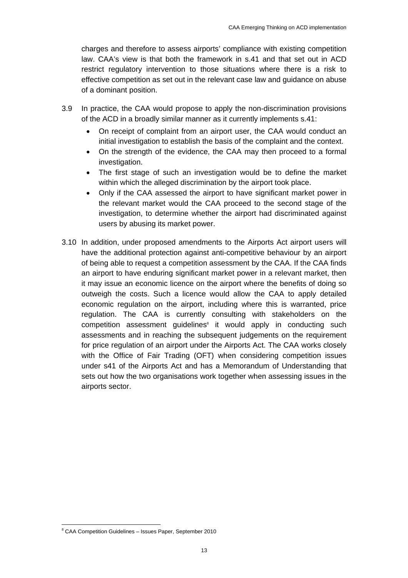charges and therefore to assess airports' compliance with existing competition law. CAA's view is that both the framework in s.41 and that set out in ACD restrict regulatory intervention to those situations where there is a risk to effective competition as set out in the relevant case law and guidance on abuse of a dominant position.

- 3.9 In practice, the CAA would propose to apply the non-discrimination provisions of the ACD in a broadly similar manner as it currently implements s.41:
	- On receipt of complaint from an airport user, the CAA would conduct an initial investigation to establish the basis of the complaint and the context.
	- On the strength of the evidence, the CAA may then proceed to a formal investigation.
	- The first stage of such an investigation would be to define the market within which the alleged discrimination by the airport took place.
	- Only if the CAA assessed the airport to have significant market power in the relevant market would the CAA proceed to the second stage of the investigation, to determine whether the airport had discriminated against users by abusing its market power.
- 3.10 In addition, under proposed amendments to the Airports Act airport users will have the additional protection against anti-competitive behaviour by an airport of being able to request a competition assessment by the CAA. If the CAA finds an airport to have enduring significant market power in a relevant market, then it may issue an economic licence on the airport where the benefits of doing so outweigh the costs. Such a licence would allow the CAA to apply detailed economic regulation on the airport, including where this is warranted, price regulation. The CAA is currently consulting with stakeholders on the competition assessment guidelines<sup>®</sup> it would apply in conducting such assessments and in reaching the subsequent judgements on the requirement for price regulation of an airport under the Airports Act. The CAA works closely with the Office of Fair Trading (OFT) when considering competition issues under s41 of the Airports Act and has a Memorandum of Understanding that sets out how the two organisations work together when assessing issues in the airports sector.

 8 CAA Competition Guidelines – Issues Paper, September 2010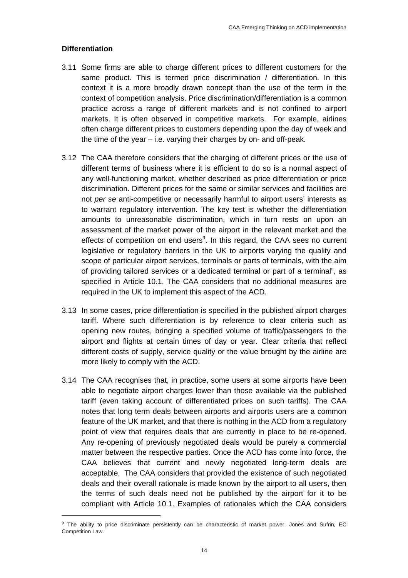#### **Differentiation**

- 3.11 Some firms are able to charge different prices to different customers for the same product. This is termed price discrimination / differentiation. In this context it is a more broadly drawn concept than the use of the term in the context of competition analysis. Price discrimination/differentiation is a common practice across a range of different markets and is not confined to airport markets. It is often observed in competitive markets. For example, airlines often charge different prices to customers depending upon the day of week and the time of the year – i.e. varying their charges by on- and off-peak.
- 3.12 The CAA therefore considers that the charging of different prices or the use of different terms of business where it is efficient to do so is a normal aspect of any well-functioning market, whether described as price differentiation or price discrimination. Different prices for the same or similar services and facilities are not *per se* anti-competitive or necessarily harmful to airport users' interests as to warrant regulatory intervention. The key test is whether the differentiation amounts to unreasonable discrimination, which in turn rests on upon an assessment of the market power of the airport in the relevant market and the effects of competition on end users<sup>9</sup>. In this regard, the CAA sees no current legislative or regulatory barriers in the UK to airports varying the quality and scope of particular airport services, terminals or parts of terminals, with the aim of providing tailored services or a dedicated terminal or part of a terminal", as specified in Article 10.1. The CAA considers that no additional measures are required in the UK to implement this aspect of the ACD.
- 3.13 In some cases, price differentiation is specified in the published airport charges tariff. Where such differentiation is by reference to clear criteria such as opening new routes, bringing a specified volume of traffic/passengers to the airport and flights at certain times of day or year. Clear criteria that reflect different costs of supply, service quality or the value brought by the airline are more likely to comply with the ACD.
- 3.14 The CAA recognises that, in practice, some users at some airports have been able to negotiate airport charges lower than those available via the published tariff (even taking account of differentiated prices on such tariffs). The CAA notes that long term deals between airports and airports users are a common feature of the UK market, and that there is nothing in the ACD from a regulatory point of view that requires deals that are currently in place to be re-opened. Any re-opening of previously negotiated deals would be purely a commercial matter between the respective parties. Once the ACD has come into force, the CAA believes that current and newly negotiated long-term deals are acceptable. The CAA considers that provided the existence of such negotiated deals and their overall rationale is made known by the airport to all users, then the terms of such deals need not be published by the airport for it to be compliant with Article 10.1. Examples of rationales which the CAA considers

<u> 1989 - Johann Barn, mars ar breithinn ar chuid ann an t-</u>

<sup>9</sup> The ability to price discriminate persistently can be characteristic of market power. Jones and Sufrin, EC Competition Law.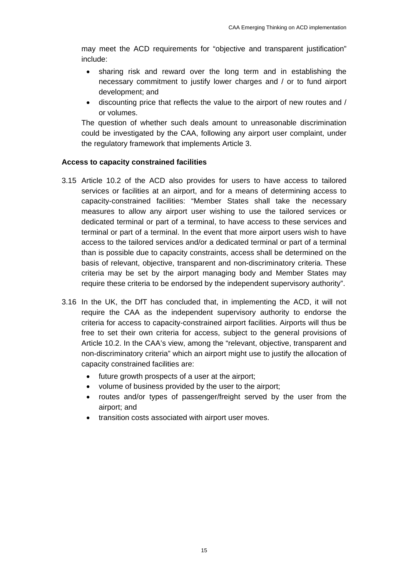may meet the ACD requirements for "objective and transparent justification" include:

- sharing risk and reward over the long term and in establishing the necessary commitment to justify lower charges and / or to fund airport development; and
- discounting price that reflects the value to the airport of new routes and / or volumes.

The question of whether such deals amount to unreasonable discrimination could be investigated by the CAA, following any airport user complaint, under the regulatory framework that implements Article 3.

#### **Access to capacity constrained facilities**

- 3.15 Article 10.2 of the ACD also provides for users to have access to tailored services or facilities at an airport, and for a means of determining access to capacity-constrained facilities: "Member States shall take the necessary measures to allow any airport user wishing to use the tailored services or dedicated terminal or part of a terminal, to have access to these services and terminal or part of a terminal. In the event that more airport users wish to have access to the tailored services and/or a dedicated terminal or part of a terminal than is possible due to capacity constraints, access shall be determined on the basis of relevant, objective, transparent and non-discriminatory criteria. These criteria may be set by the airport managing body and Member States may require these criteria to be endorsed by the independent supervisory authority".
- 3.16 In the UK, the DfT has concluded that, in implementing the ACD, it will not require the CAA as the independent supervisory authority to endorse the criteria for access to capacity-constrained airport facilities. Airports will thus be free to set their own criteria for access, subject to the general provisions of Article 10.2. In the CAA's view, among the "relevant, objective, transparent and non-discriminatory criteria" which an airport might use to justify the allocation of capacity constrained facilities are:
	- future growth prospects of a user at the airport;
	- volume of business provided by the user to the airport;
	- routes and/or types of passenger/freight served by the user from the airport; and
	- transition costs associated with airport user moves.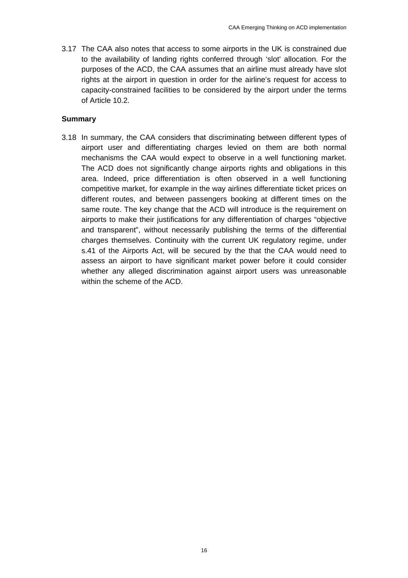3.17 The CAA also notes that access to some airports in the UK is constrained due to the availability of landing rights conferred through 'slot' allocation. For the purposes of the ACD, the CAA assumes that an airline must already have slot rights at the airport in question in order for the airline's request for access to capacity-constrained facilities to be considered by the airport under the terms of Article 10.2.

#### **Summary**

3.18 In summary, the CAA considers that discriminating between different types of airport user and differentiating charges levied on them are both normal mechanisms the CAA would expect to observe in a well functioning market. The ACD does not significantly change airports rights and obligations in this area. Indeed, price differentiation is often observed in a well functioning competitive market, for example in the way airlines differentiate ticket prices on different routes, and between passengers booking at different times on the same route. The key change that the ACD will introduce is the requirement on airports to make their justifications for any differentiation of charges "objective and transparent", without necessarily publishing the terms of the differential charges themselves. Continuity with the current UK regulatory regime, under s.41 of the Airports Act, will be secured by the that the CAA would need to assess an airport to have significant market power before it could consider whether any alleged discrimination against airport users was unreasonable within the scheme of the ACD.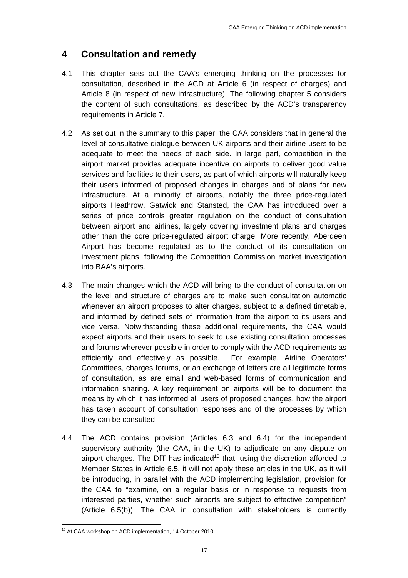# **4 Consultation and remedy**

- 4.1 This chapter sets out the CAA's emerging thinking on the processes for consultation, described in the ACD at Article 6 (in respect of charges) and Article 8 (in respect of new infrastructure). The following chapter 5 considers the content of such consultations, as described by the ACD's transparency requirements in Article 7.
- 4.2 As set out in the summary to this paper, the CAA considers that in general the level of consultative dialogue between UK airports and their airline users to be adequate to meet the needs of each side. In large part, competition in the airport market provides adequate incentive on airports to deliver good value services and facilities to their users, as part of which airports will naturally keep their users informed of proposed changes in charges and of plans for new infrastructure. At a minority of airports, notably the three price-regulated airports Heathrow, Gatwick and Stansted, the CAA has introduced over a series of price controls greater regulation on the conduct of consultation between airport and airlines, largely covering investment plans and charges other than the core price-regulated airport charge. More recently, Aberdeen Airport has become regulated as to the conduct of its consultation on investment plans, following the Competition Commission market investigation into BAA's airports.
- 4.3 The main changes which the ACD will bring to the conduct of consultation on the level and structure of charges are to make such consultation automatic whenever an airport proposes to alter charges, subject to a defined timetable, and informed by defined sets of information from the airport to its users and vice versa. Notwithstanding these additional requirements, the CAA would expect airports and their users to seek to use existing consultation processes and forums wherever possible in order to comply with the ACD requirements as efficiently and effectively as possible. For example, Airline Operators' Committees, charges forums, or an exchange of letters are all legitimate forms of consultation, as are email and web-based forms of communication and information sharing. A key requirement on airports will be to document the means by which it has informed all users of proposed changes, how the airport has taken account of consultation responses and of the processes by which they can be consulted.
- 4.4 The ACD contains provision (Articles 6.3 and 6.4) for the independent supervisory authority (the CAA, in the UK) to adjudicate on any dispute on airport charges. The DfT has indicated<sup>10</sup> that, using the discretion afforded to Member States in Article 6.5, it will not apply these articles in the UK, as it will be introducing, in parallel with the ACD implementing legislation, provision for the CAA to "examine, on a regular basis or in response to requests from interested parties, whether such airports are subject to effective competition" (Article 6.5(b)). The CAA in consultation with stakeholders is currently

<sup>&</sup>lt;u> 1989 - Johann Barnett, fransk politiker (d. 1989)</u><br>1900 - Johann Barnett, skuadarsk politiker (d. 1900)<br>1900 - Johann Barnett, fransk politiker (d. 1900) <sup>10</sup> At CAA workshop on ACD implementation, 14 October 2010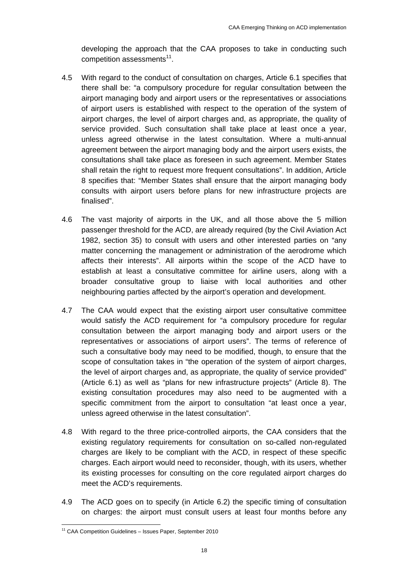developing the approach that the CAA proposes to take in conducting such competition assessments $11$ .

- 4.5 With regard to the conduct of consultation on charges, Article 6.1 specifies that there shall be: "a compulsory procedure for regular consultation between the airport managing body and airport users or the representatives or associations of airport users is established with respect to the operation of the system of airport charges, the level of airport charges and, as appropriate, the quality of service provided. Such consultation shall take place at least once a year, unless agreed otherwise in the latest consultation. Where a multi-annual agreement between the airport managing body and the airport users exists, the consultations shall take place as foreseen in such agreement. Member States shall retain the right to request more frequent consultations". In addition, Article 8 specifies that: "Member States shall ensure that the airport managing body consults with airport users before plans for new infrastructure projects are finalised".
- 4.6 The vast majority of airports in the UK, and all those above the 5 million passenger threshold for the ACD, are already required (by the Civil Aviation Act 1982, section 35) to consult with users and other interested parties on "any matter concerning the management or administration of the aerodrome which affects their interests". All airports within the scope of the ACD have to establish at least a consultative committee for airline users, along with a broader consultative group to liaise with local authorities and other neighbouring parties affected by the airport's operation and development.
- 4.7 The CAA would expect that the existing airport user consultative committee would satisfy the ACD requirement for "a compulsory procedure for regular consultation between the airport managing body and airport users or the representatives or associations of airport users". The terms of reference of such a consultative body may need to be modified, though, to ensure that the scope of consultation takes in "the operation of the system of airport charges, the level of airport charges and, as appropriate, the quality of service provided" (Article 6.1) as well as "plans for new infrastructure projects" (Article 8). The existing consultation procedures may also need to be augmented with a specific commitment from the airport to consultation "at least once a year, unless agreed otherwise in the latest consultation".
- 4.8 With regard to the three price-controlled airports, the CAA considers that the existing regulatory requirements for consultation on so-called non-regulated charges are likely to be compliant with the ACD, in respect of these specific charges. Each airport would need to reconsider, though, with its users, whether its existing processes for consulting on the core regulated airport charges do meet the ACD's requirements.
- 4.9 The ACD goes on to specify (in Article 6.2) the specific timing of consultation on charges: the airport must consult users at least four months before any

<sup>&</sup>lt;u> 1989 - Johann Barn, mars eta bainar eta industrial eta eta bainarra (h. 1984).</u><br>1980 - Johann Barn, italiar eta bainar eta bainaren (h. 1980).  $11$  CAA Competition Guidelines - Issues Paper, September 2010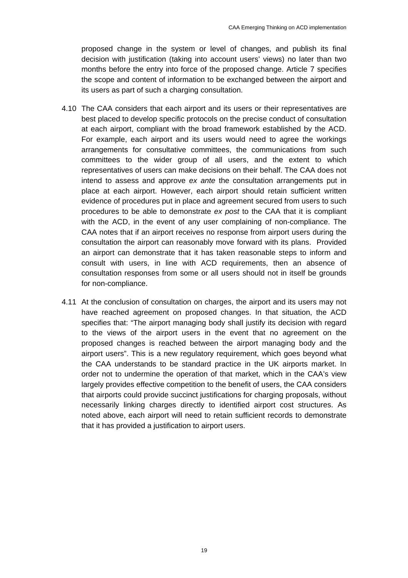proposed change in the system or level of changes, and publish its final decision with justification (taking into account users' views) no later than two months before the entry into force of the proposed change. Article 7 specifies the scope and content of information to be exchanged between the airport and its users as part of such a charging consultation.

- 4.10 The CAA considers that each airport and its users or their representatives are best placed to develop specific protocols on the precise conduct of consultation at each airport, compliant with the broad framework established by the ACD. For example, each airport and its users would need to agree the workings arrangements for consultative committees, the communications from such committees to the wider group of all users, and the extent to which representatives of users can make decisions on their behalf. The CAA does not intend to assess and approve *ex ante* the consultation arrangements put in place at each airport. However, each airport should retain sufficient written evidence of procedures put in place and agreement secured from users to such procedures to be able to demonstrate *ex post* to the CAA that it is compliant with the ACD, in the event of any user complaining of non-compliance. The CAA notes that if an airport receives no response from airport users during the consultation the airport can reasonably move forward with its plans. Provided an airport can demonstrate that it has taken reasonable steps to inform and consult with users, in line with ACD requirements, then an absence of consultation responses from some or all users should not in itself be grounds for non-compliance.
- 4.11 At the conclusion of consultation on charges, the airport and its users may not have reached agreement on proposed changes. In that situation, the ACD specifies that: "The airport managing body shall justify its decision with regard to the views of the airport users in the event that no agreement on the proposed changes is reached between the airport managing body and the airport users". This is a new regulatory requirement, which goes beyond what the CAA understands to be standard practice in the UK airports market. In order not to undermine the operation of that market, which in the CAA's view largely provides effective competition to the benefit of users, the CAA considers that airports could provide succinct justifications for charging proposals, without necessarily linking charges directly to identified airport cost structures. As noted above, each airport will need to retain sufficient records to demonstrate that it has provided a justification to airport users.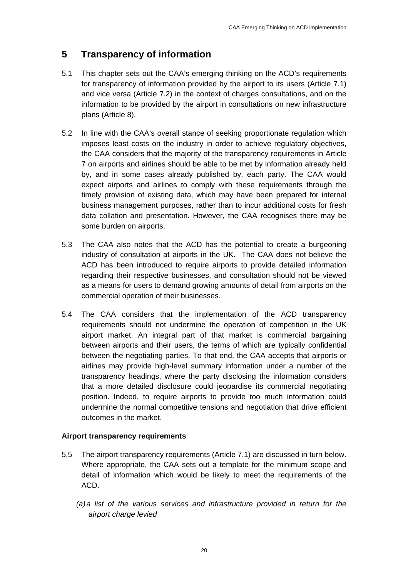# **5 Transparency of information**

- 5.1 This chapter sets out the CAA's emerging thinking on the ACD's requirements for transparency of information provided by the airport to its users (Article 7.1) and vice versa (Article 7.2) in the context of charges consultations, and on the information to be provided by the airport in consultations on new infrastructure plans (Article 8).
- 5.2 In line with the CAA's overall stance of seeking proportionate regulation which imposes least costs on the industry in order to achieve regulatory objectives, the CAA considers that the majority of the transparency requirements in Article 7 on airports and airlines should be able to be met by information already held by, and in some cases already published by, each party. The CAA would expect airports and airlines to comply with these requirements through the timely provision of existing data, which may have been prepared for internal business management purposes, rather than to incur additional costs for fresh data collation and presentation. However, the CAA recognises there may be some burden on airports.
- 5.3 The CAA also notes that the ACD has the potential to create a burgeoning industry of consultation at airports in the UK. The CAA does not believe the ACD has been introduced to require airports to provide detailed information regarding their respective businesses, and consultation should not be viewed as a means for users to demand growing amounts of detail from airports on the commercial operation of their businesses.
- 5.4 The CAA considers that the implementation of the ACD transparency requirements should not undermine the operation of competition in the UK airport market. An integral part of that market is commercial bargaining between airports and their users, the terms of which are typically confidential between the negotiating parties. To that end, the CAA accepts that airports or airlines may provide high-level summary information under a number of the transparency headings, where the party disclosing the information considers that a more detailed disclosure could jeopardise its commercial negotiating position. Indeed, to require airports to provide too much information could undermine the normal competitive tensions and negotiation that drive efficient outcomes in the market.

## **Airport transparency requirements**

- 5.5 The airport transparency requirements (Article 7.1) are discussed in turn below. Where appropriate, the CAA sets out a template for the minimum scope and detail of information which would be likely to meet the requirements of the ACD.
	- *(a) a list of the various services and infrastructure provided in return for the airport charge levied*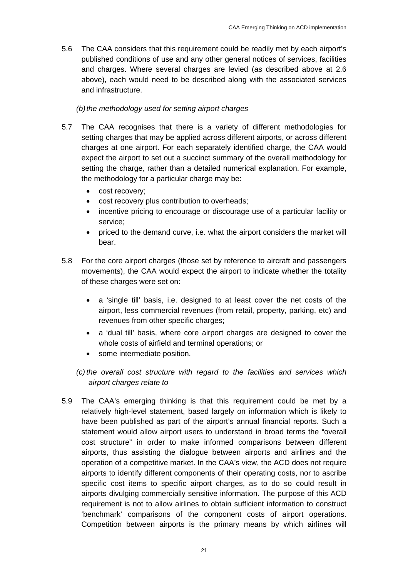5.6 The CAA considers that this requirement could be readily met by each airport's published conditions of use and any other general notices of services, facilities and charges. Where several charges are levied (as described above at 2.6 above), each would need to be described along with the associated services and infrastructure.

### *(b) the methodology used for setting airport charges*

- 5.7 The CAA recognises that there is a variety of different methodologies for setting charges that may be applied across different airports, or across different charges at one airport. For each separately identified charge, the CAA would expect the airport to set out a succinct summary of the overall methodology for setting the charge, rather than a detailed numerical explanation. For example, the methodology for a particular charge may be:
	- cost recovery;
	- cost recovery plus contribution to overheads;
	- incentive pricing to encourage or discourage use of a particular facility or service;
	- priced to the demand curve, i.e. what the airport considers the market will bear.
- 5.8 For the core airport charges (those set by reference to aircraft and passengers movements), the CAA would expect the airport to indicate whether the totality of these charges were set on:
	- a 'single till' basis, i.e. designed to at least cover the net costs of the airport, less commercial revenues (from retail, property, parking, etc) and revenues from other specific charges;
	- a 'dual till' basis, where core airport charges are designed to cover the whole costs of airfield and terminal operations; or
	- some intermediate position.
	- *(c) the overall cost structure with regard to the facilities and services which airport charges relate to*
- 5.9 The CAA's emerging thinking is that this requirement could be met by a relatively high-level statement, based largely on information which is likely to have been published as part of the airport's annual financial reports. Such a statement would allow airport users to understand in broad terms the "overall cost structure" in order to make informed comparisons between different airports, thus assisting the dialogue between airports and airlines and the operation of a competitive market. In the CAA's view, the ACD does not require airports to identify different components of their operating costs, nor to ascribe specific cost items to specific airport charges, as to do so could result in airports divulging commercially sensitive information. The purpose of this ACD requirement is not to allow airlines to obtain sufficient information to construct 'benchmark' comparisons of the component costs of airport operations. Competition between airports is the primary means by which airlines will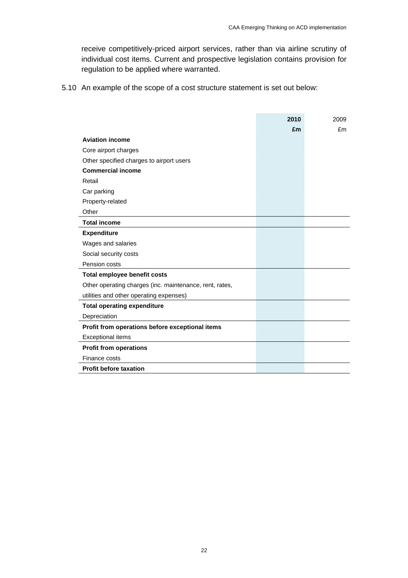receive competitively-priced airport services, rather than via airline scrutiny of individual cost items. Current and prospective legislation contains provision for regulation to be applied where warranted.

5.10 An example of the scope of a cost structure statement is set out below:

|                                                         | 2010 | 2009 |
|---------------------------------------------------------|------|------|
|                                                         | £m   | £m   |
| <b>Aviation income</b>                                  |      |      |
| Core airport charges                                    |      |      |
| Other specified charges to airport users                |      |      |
| <b>Commercial income</b>                                |      |      |
| Retail                                                  |      |      |
| Car parking                                             |      |      |
| Property-related                                        |      |      |
| Other                                                   |      |      |
| <b>Total income</b>                                     |      |      |
| <b>Expenditure</b>                                      |      |      |
| Wages and salaries                                      |      |      |
| Social security costs                                   |      |      |
| Pension costs                                           |      |      |
| Total employee benefit costs                            |      |      |
| Other operating charges (inc. maintenance, rent, rates, |      |      |
| utilities and other operating expenses)                 |      |      |
| <b>Total operating expenditure</b>                      |      |      |
| Depreciation                                            |      |      |
| Profit from operations before exceptional items         |      |      |
| <b>Exceptional items</b>                                |      |      |
| <b>Profit from operations</b>                           |      |      |
| Finance costs                                           |      |      |
| <b>Profit before taxation</b>                           |      |      |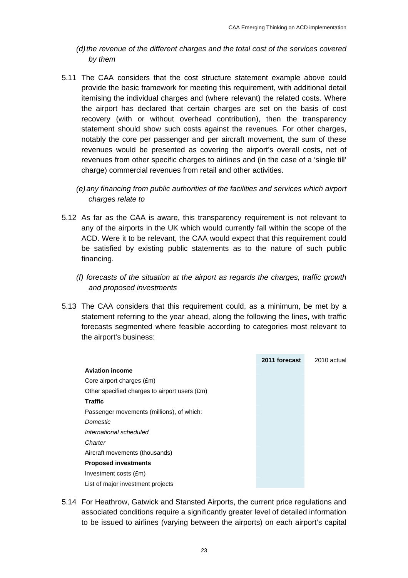- *(d) the revenue of the different charges and the total cost of the services covered by them*
- 5.11 The CAA considers that the cost structure statement example above could provide the basic framework for meeting this requirement, with additional detail itemising the individual charges and (where relevant) the related costs. Where the airport has declared that certain charges are set on the basis of cost recovery (with or without overhead contribution), then the transparency statement should show such costs against the revenues. For other charges, notably the core per passenger and per aircraft movement, the sum of these revenues would be presented as covering the airport's overall costs, net of revenues from other specific charges to airlines and (in the case of a 'single till' charge) commercial revenues from retail and other activities.
	- *(e) any financing from public authorities of the facilities and services which airport charges relate to*
- 5.12 As far as the CAA is aware, this transparency requirement is not relevant to any of the airports in the UK which would currently fall within the scope of the ACD. Were it to be relevant, the CAA would expect that this requirement could be satisfied by existing public statements as to the nature of such public financing.
	- *(f) forecasts of the situation at the airport as regards the charges, traffic growth and proposed investments*
- 5.13 The CAA considers that this requirement could, as a minimum, be met by a statement referring to the year ahead, along the following the lines, with traffic forecasts segmented where feasible according to categories most relevant to the airport's business:



5.14 For Heathrow, Gatwick and Stansted Airports, the current price regulations and associated conditions require a significantly greater level of detailed information to be issued to airlines (varying between the airports) on each airport's capital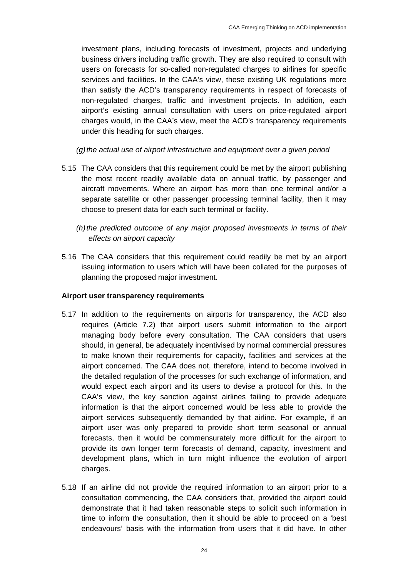investment plans, including forecasts of investment, projects and underlying business drivers including traffic growth. They are also required to consult with users on forecasts for so-called non-regulated charges to airlines for specific services and facilities. In the CAA's view, these existing UK regulations more than satisfy the ACD's transparency requirements in respect of forecasts of non-regulated charges, traffic and investment projects. In addition, each airport's existing annual consultation with users on price-regulated airport charges would, in the CAA's view, meet the ACD's transparency requirements under this heading for such charges.

*(g) the actual use of airport infrastructure and equipment over a given period* 

- 5.15 The CAA considers that this requirement could be met by the airport publishing the most recent readily available data on annual traffic, by passenger and aircraft movements. Where an airport has more than one terminal and/or a separate satellite or other passenger processing terminal facility, then it may choose to present data for each such terminal or facility.
	- *(h) the predicted outcome of any major proposed investments in terms of their effects on airport capacity*
- 5.16 The CAA considers that this requirement could readily be met by an airport issuing information to users which will have been collated for the purposes of planning the proposed major investment.

#### **Airport user transparency requirements**

- 5.17 In addition to the requirements on airports for transparency, the ACD also requires (Article 7.2) that airport users submit information to the airport managing body before every consultation. The CAA considers that users should, in general, be adequately incentivised by normal commercial pressures to make known their requirements for capacity, facilities and services at the airport concerned. The CAA does not, therefore, intend to become involved in the detailed regulation of the processes for such exchange of information, and would expect each airport and its users to devise a protocol for this. In the CAA's view, the key sanction against airlines failing to provide adequate information is that the airport concerned would be less able to provide the airport services subsequently demanded by that airline. For example, if an airport user was only prepared to provide short term seasonal or annual forecasts, then it would be commensurately more difficult for the airport to provide its own longer term forecasts of demand, capacity, investment and development plans, which in turn might influence the evolution of airport charges.
- 5.18 If an airline did not provide the required information to an airport prior to a consultation commencing, the CAA considers that, provided the airport could demonstrate that it had taken reasonable steps to solicit such information in time to inform the consultation, then it should be able to proceed on a 'best endeavours' basis with the information from users that it did have. In other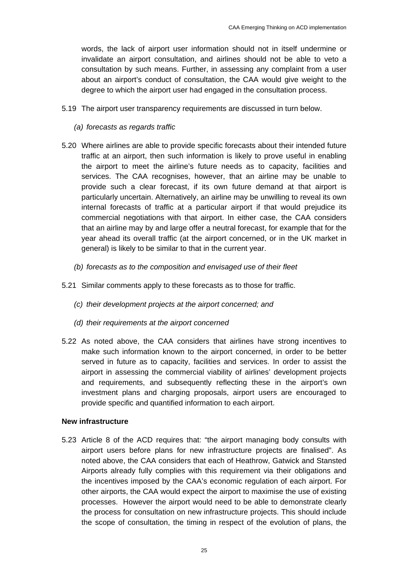words, the lack of airport user information should not in itself undermine or invalidate an airport consultation, and airlines should not be able to veto a consultation by such means. Further, in assessing any complaint from a user about an airport's conduct of consultation, the CAA would give weight to the degree to which the airport user had engaged in the consultation process.

- 5.19 The airport user transparency requirements are discussed in turn below.
	- *(a) forecasts as regards traffic*
- 5.20 Where airlines are able to provide specific forecasts about their intended future traffic at an airport, then such information is likely to prove useful in enabling the airport to meet the airline's future needs as to capacity, facilities and services. The CAA recognises, however, that an airline may be unable to provide such a clear forecast, if its own future demand at that airport is particularly uncertain. Alternatively, an airline may be unwilling to reveal its own internal forecasts of traffic at a particular airport if that would prejudice its commercial negotiations with that airport. In either case, the CAA considers that an airline may by and large offer a neutral forecast, for example that for the year ahead its overall traffic (at the airport concerned, or in the UK market in general) is likely to be similar to that in the current year.
	- *(b) forecasts as to the composition and envisaged use of their fleet*
- 5.21 Similar comments apply to these forecasts as to those for traffic.
	- *(c) their development projects at the airport concerned; and*
	- *(d) their requirements at the airport concerned*
- 5.22 As noted above, the CAA considers that airlines have strong incentives to make such information known to the airport concerned, in order to be better served in future as to capacity, facilities and services. In order to assist the airport in assessing the commercial viability of airlines' development projects and requirements, and subsequently reflecting these in the airport's own investment plans and charging proposals, airport users are encouraged to provide specific and quantified information to each airport.

#### **New infrastructure**

5.23 Article 8 of the ACD requires that: "the airport managing body consults with airport users before plans for new infrastructure projects are finalised". As noted above, the CAA considers that each of Heathrow, Gatwick and Stansted Airports already fully complies with this requirement via their obligations and the incentives imposed by the CAA's economic regulation of each airport. For other airports, the CAA would expect the airport to maximise the use of existing processes. However the airport would need to be able to demonstrate clearly the process for consultation on new infrastructure projects. This should include the scope of consultation, the timing in respect of the evolution of plans, the